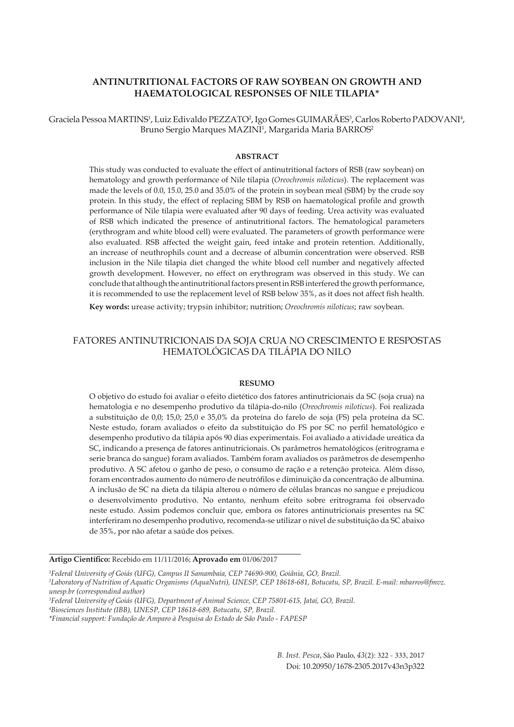# **ANTINUTRITIONAL FACTORS OF RAW SOYBEAN ON GROWTH AND HAEMATOLOGICAL RESPONSES OF NILE TILAPIA\***

Graciela Pessoa MARTINS<sup>1</sup>, Luiz Edivaldo PEZZATO<sup>2</sup>, Igo Gomes GUIMARÃES<sup>3</sup>, Carlos Roberto PADOVANI<sup>4</sup>, Bruno Sergio Marques MAZINI<sup>1</sup>, Margarida Maria BARROS<del>'</del>

## **ABSTRACT**

This study was conducted to evaluate the effect of antinutritional factors of RSB (raw soybean) on hematology and growth performance of Nile tilapia (*Oreochromis niloticus*). The replacement was made the levels of 0.0, 15.0, 25.0 and 35.0% of the protein in soybean meal (SBM) by the crude soy protein. In this study, the effect of replacing SBM by RSB on haematological profile and growth performance of Nile tilapia were evaluated after 90 days of feeding. Urea activity was evaluated of RSB which indicated the presence of antinutritional factors. The hematological parameters (erythrogram and white blood cell) were evaluated. The parameters of growth performance were also evaluated. RSB affected the weight gain, feed intake and protein retention. Additionally, an increase of neuthrophils count and a decrease of albumin concentration were observed. RSB inclusion in the Nile tilapia diet changed the white blood cell number and negatively affected growth development. However, no effect on erythrogram was observed in this study. We can conclude that although the antinutritional factors present in RSB interfered the growth performance, it is recommended to use the replacement level of RSB below 35%, as it does not affect fish health.

**Key words:** urease activity; trypsin inhibitor; nutrition; *Oreochromis niloticus*; raw soybean.

# FATORES ANTINUTRICIONAIS DA SOJA CRUA NO CRESCIMENTO E RESPOSTAS HEMATOLÓGICAS DA TILÁPIA DO NILO

#### **RESUMO**

O objetivo do estudo foi avaliar o efeito dietético dos fatores antinutricionais da SC (soja crua) na hematologia e no desempenho produtivo da tilápia-do-nilo (*Oreochromis niloticus*). Foi realizada a substituição de 0,0; 15,0; 25,0 e 35,0% da proteína do farelo de soja (FS) pela proteína da SC. Neste estudo, foram avaliados o efeito da substituição do FS por SC no perfil hematológico e desempenho produtivo da tilápia após 90 dias experimentais. Foi avaliado a atividade ureática da SC, indicando a presença de fatores antinutricionais. Os parâmetros hematológicos (eritrograma e serie branca do sangue) foram avaliados. Também foram avaliados os parâmetros de desempenho produtivo. A SC afetou o ganho de peso, o consumo de ração e a retenção proteica. Além disso, foram encontrados aumento do número de neutrófilos e diminuição da concentração de albumina. A inclusão de SC na dieta da tilápia alterou o número de células brancas no sangue e prejudicou o desenvolvimento produtivo. No entanto, nenhum efeito sobre eritrograma foi observado neste estudo. Assim podemos concluir que, embora os fatores antinutricionais presentes na SC interferiram no desempenho produtivo, recomenda-se utilizar o nível de substituição da SC abaixo de 35%, por não afetar a saúde dos peixes.

**Artigo Científico:** Recebido em 11/11/2016; **Aprovado em** 01/06/2017

*1 Federal University of Goiás (UFG), Campus II Samambaia, CEP 74690-900, Goiânia, GO, Brazil.* 

*2 Laboratory of Nutrition of Aquatic Organisms (AquaNutri), UNESP, CEP 18618-681, Botucatu, SP, Brazil. E-mail: mbarros@fmvz. unesp.br (correspondind author)*

*B. Inst. Pesca*, São Paulo, *43*(2): 322 - 333, 2017 Doi: 10.20950/1678-2305.2017v43n3p322

*<sup>3</sup> Federal University of Goiás (UFG), Department of Animal Science, CEP 75801-615, Jataí, GO, Brazil.* 

*<sup>4</sup> Biosciences Institute (IBB), UNESP, CEP 18618-689, Botucatu, SP, Brazil.* 

*<sup>\*</sup>Financial support: Fundação de Amparo à Pesquisa do Estado de São Paulo - FAPESP*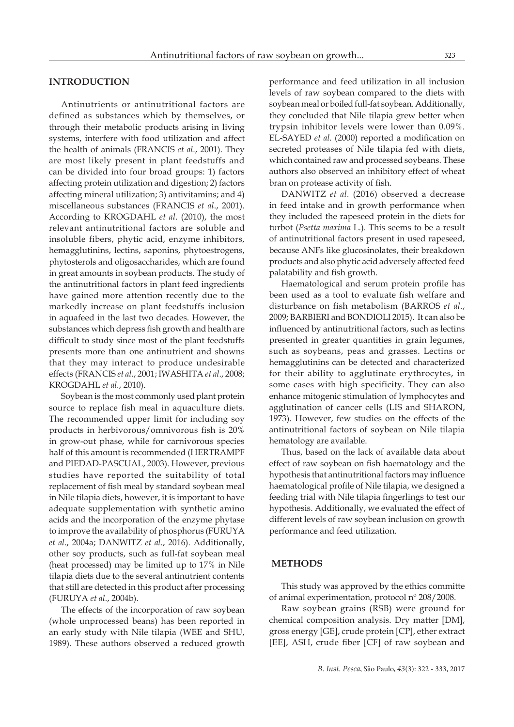# **INTRODUCTION**

Antinutrients or antinutritional factors are defined as substances which by themselves, or through their metabolic products arising in living systems, interfere with food utilization and affect the health of animals (FRANCIS *et al*., 2001). They are most likely present in plant feedstuffs and can be divided into four broad groups: 1) factors affecting protein utilization and digestion; 2) factors affecting mineral utilization; 3) antivitamins; and 4) miscellaneous substances (FRANCIS *et al*., 2001). According to KROGDAHL *et al*. (2010), the most relevant antinutritional factors are soluble and insoluble fibers, phytic acid, enzyme inhibitors, hemagglutinins, lectins, saponins, phytoestrogens, phytosterols and oligosaccharides, which are found in great amounts in soybean products. The study of the antinutritional factors in plant feed ingredients have gained more attention recently due to the markedly increase on plant feedstuffs inclusion in aquafeed in the last two decades. However, the substances which depress fish growth and health are difficult to study since most of the plant feedstuffs presents more than one antinutrient and showns that they may interact to produce undesirable effects (FRANCIS *et al.*, 2001; IWASHITA *et al*., 2008; KROGDAHL *et al.*, 2010).

Soybean is the most commonly used plant protein source to replace fish meal in aquaculture diets. The recommended upper limit for including soy products in herbivorous/omnivorous fish is 20% in grow-out phase, while for carnivorous species half of this amount is recommended (HERTRAMPF and PIEDAD-PASCUAL, 2003). However, previous studies have reported the suitability of total replacement of fish meal by standard soybean meal in Nile tilapia diets, however, it is important to have adequate supplementation with synthetic amino acids and the incorporation of the enzyme phytase to improve the availability of phosphorus (FURUYA *et al*., 2004a; DANWITZ *et al*., 2016). Additionally, other soy products, such as full-fat soybean meal (heat processed) may be limited up to 17% in Nile tilapia diets due to the several antinutrient contents that still are detected in this product after processing (FURUYA *et al*., 2004b).

The effects of the incorporation of raw soybean (whole unprocessed beans) has been reported in an early study with Nile tilapia (WEE and SHU, 1989). These authors observed a reduced growth performance and feed utilization in all inclusion levels of raw soybean compared to the diets with soybean meal or boiled full-fat soybean. Additionally, they concluded that Nile tilapia grew better when trypsin inhibitor levels were lower than 0.09%. EL-SAYED *et al.* (2000) reported a modification on secreted proteases of Nile tilapia fed with diets, which contained raw and processed soybeans. These authors also observed an inhibitory effect of wheat bran on protease activity of fish.

DANWITZ *et al.* (2016) observed a decrease in feed intake and in growth performance when they included the rapeseed protein in the diets for turbot (*Psetta maxima* L.). This seems to be a result of antinutritional factors present in used rapeseed, because ANFs like glucosinolates, their breakdown products and also phytic acid adversely affected feed palatability and fish growth.

Haematological and serum protein profile has been used as a tool to evaluate fish welfare and disturbance on fish metabolism (BARROS *et al.*, 2009; BARBIERI and BONDIOLI 2015). It can also be influenced by antinutritional factors, such as lectins presented in greater quantities in grain legumes, such as soybeans, peas and grasses. Lectins or hemagglutinins can be detected and characterized for their ability to agglutinate erythrocytes, in some cases with high specificity. They can also enhance mitogenic stimulation of lymphocytes and agglutination of cancer cells (LIS and SHARON, 1973). However, few studies on the effects of the antinutritional factors of soybean on Nile tilapia hematology are available.

Thus, based on the lack of available data about effect of raw soybean on fish haematology and the hypothesis that antinutritional factors may influence haematological profile of Nile tilapia, we designed a feeding trial with Nile tilapia fingerlings to test our hypothesis. Additionally, we evaluated the effect of different levels of raw soybean inclusion on growth performance and feed utilization.

### **METHODS**

This study was approved by the ethics committe of animal experimentation, protocol nº 208/2008.

Raw soybean grains (RSB) were ground for chemical composition analysis. Dry matter [DM], gross energy [GE], crude protein [CP], ether extract [EE], ASH, crude fiber [CF] of raw soybean and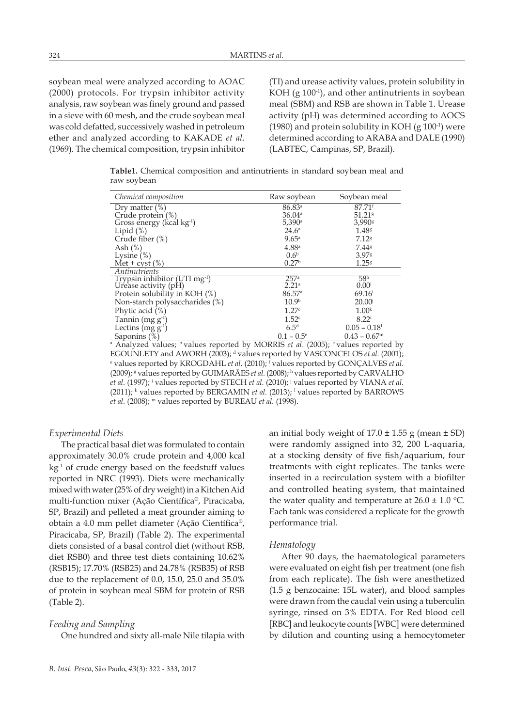soybean meal were analyzed according to AOAC (2000) protocols. For trypsin inhibitor activity analysis, raw soybean was finely ground and passed in a sieve with 60 mesh, and the crude soybean meal was cold defatted, successively washed in petroleum ether and analyzed according to KAKADE *et al.*  (1969). The chemical composition, trypsin inhibitor (TI) and urease activity values, protein solubility in KOH  $(g 100<sup>-1</sup>)$ , and other antinutrients in soybean meal (SBM) and RSB are shown in Table 1. Urease activity (pH) was determined according to AOCS (1980) and protein solubility in KOH (g  $100<sup>-1</sup>$ ) were determined according to ARABA and DALE (1990) (LABTEC, Campinas, SP, Brazil).

**Table1.** Chemical composition and antinutrients in standard soybean meal and raw soybean

| Chemical composition                      | Raw soybean          | Soybean meal                                                                                                               |  |  |  |  |  |  |
|-------------------------------------------|----------------------|----------------------------------------------------------------------------------------------------------------------------|--|--|--|--|--|--|
| Dry matter $(\%)$                         | 86.83a               | $87.71$ <sup>f</sup>                                                                                                       |  |  |  |  |  |  |
| Crude protein (%)                         | 36.04a               | 51.21 <sup>g</sup>                                                                                                         |  |  |  |  |  |  |
| Gross energy (kcal kg <sup>-1</sup> )     | $5,390$ <sup>a</sup> | 3,990 <sup>g</sup>                                                                                                         |  |  |  |  |  |  |
| Lipid $(\%)$                              | $24.6^{\circ}$       | 1.48 <sup>g</sup>                                                                                                          |  |  |  |  |  |  |
| Crude fiber $(\%)$                        | 9.65 <sup>a</sup>    | 7.12 <sup>g</sup>                                                                                                          |  |  |  |  |  |  |
| Ash $(\%)$                                | 4.88 <sup>a</sup>    | $7.44$ <sup>g</sup>                                                                                                        |  |  |  |  |  |  |
| Lysine $(\%)$                             | 0.6 <sup>b</sup>     | 3.978                                                                                                                      |  |  |  |  |  |  |
| Met + cyst $(\%)$                         | 0.27 <sup>b</sup>    | 1.25 <sup>g</sup>                                                                                                          |  |  |  |  |  |  |
| Antinutrients                             |                      |                                                                                                                            |  |  |  |  |  |  |
| Trypsin inhibitor (UTI mg <sup>-1</sup> ) | 257 <sup>a</sup>     | 58 <sup>h</sup>                                                                                                            |  |  |  |  |  |  |
| Urease activity (pH)                      | 2.21 <sup>a</sup>    | $0.00^{i}$                                                                                                                 |  |  |  |  |  |  |
| Protein solubility in KOH (%)             | 86.57a               | $69.16^{\rm i}$                                                                                                            |  |  |  |  |  |  |
| Non-starch polysaccharides (%)            | 10.9 <sup>b</sup>    | $20.00^{j}$                                                                                                                |  |  |  |  |  |  |
| Phytic acid (%)                           | 1.27c                | 1.00 <sup>k</sup>                                                                                                          |  |  |  |  |  |  |
| Tannin (mg $g^{-1}$ )                     | 1.52c                | $8.22^{i}$                                                                                                                 |  |  |  |  |  |  |
| Lectins $(mg g-1)$                        | 6.5 <sup>d</sup>     | $0.05 - 0.18$                                                                                                              |  |  |  |  |  |  |
| Saponins $(\%)$                           | $0.1 - 0.5^{\circ}$  | $0.43 - 0.67$ <sup>m</sup>                                                                                                 |  |  |  |  |  |  |
|                                           |                      | <sup>a</sup> Analyzed values; <sup>b</sup> values reported by MORRIS <i>et al.</i> (2005); <sup>c</sup> values reported by |  |  |  |  |  |  |

EGOUNLETY and AWORH (2003); <sup>d</sup> values reported by VASCONCELOS *et al.* (2001); values reported by KROGDAHL *et al.* (2010); <sup>*f*</sup> values reported by GONÇALVES *et al.* (2009); <sup>g</sup> values reported by GUIMARÁES *et al.* (2008); h values reported by CARVALHO *et al.* (1997); <sup>i</sup> values reported by STECH *et al.* (2010); <sup>j</sup> values reported by VIANA *et al.*  $(2011)$ ; <sup>k</sup> values reported by BERGAMIN *et al.*  $(2013)$ ; <sup>1</sup> values reported by BARROWS *et al.* (2008); m values reported by BUREAU *et al.* (1998).

#### *Experimental Diets*

The practical basal diet was formulated to contain approximately 30.0% crude protein and 4,000 kcal  $kg<sup>-1</sup>$  of crude energy based on the feedstuff values reported in NRC (1993). Diets were mechanically mixed with water (25% of dry weight) in a Kitchen Aid multi-function mixer (Ação Científica®, Piracicaba, SP, Brazil) and pelleted a meat grounder aiming to obtain a 4.0 mm pellet diameter (Ação Científica®, Piracicaba, SP, Brazil) (Table 2). The experimental diets consisted of a basal control diet (without RSB, diet RSB0) and three test diets containing 10.62% (RSB15); 17.70% (RSB25) and 24.78% (RSB35) of RSB due to the replacement of 0.0, 15.0, 25.0 and 35.0% of protein in soybean meal SBM for protein of RSB (Table 2).

#### *Feeding and Sampling*

One hundred and sixty all-male Nile tilapia with

an initial body weight of  $17.0 \pm 1.55$  g (mean  $\pm$  SD) were randomly assigned into 32, 200 L-aquaria, at a stocking density of five fish/aquarium, four treatments with eight replicates. The tanks were inserted in a recirculation system with a biofilter and controlled heating system, that maintained the water quality and temperature at  $26.0 \pm 1.0$  °C. Each tank was considered a replicate for the growth performance trial.

#### *Hematology*

After 90 days, the haematological parameters were evaluated on eight fish per treatment (one fish from each replicate). The fish were anesthetized (1.5 g benzocaine: 15L water), and blood samples were drawn from the caudal vein using a tuberculin syringe, rinsed on 3% EDTA. For Red blood cell [RBC] and leukocyte counts [WBC] were determined by dilution and counting using a hemocytometer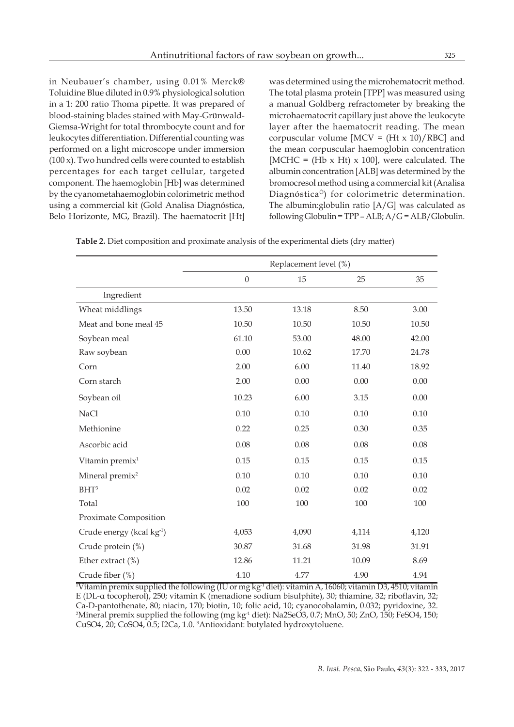in Neubauer's chamber, using 0.01% Merck® Toluidine Blue diluted in 0.9% physiological solution in a 1: 200 ratio Thoma pipette. It was prepared of blood-staining blades stained with May-Grünwald-Giemsa-Wright for total thrombocyte count and for leukocytes differentiation. Differential counting was performed on a light microscope under immersion (100 x). Two hundred cells were counted to establish percentages for each target cellular, targeted component. The haemoglobin [Hb] was determined by the cyanometahaemoglobin colorimetric method using a commercial kit (Gold Analisa Diagnóstica,

Belo Horizonte, MG, Brazil). The haematocrit [Ht]

was determined using the microhematocrit method. The total plasma protein [TPP] was measured using a manual Goldberg refractometer by breaking the microhaematocrit capillary just above the leukocyte layer after the haematocrit reading. The mean corpuscular volume  $[MCV = (Ht x 10)/RBC]$  and the mean corpuscular haemoglobin concentration [MCHC =  $(Hb \times Ht) \times 100$ ], were calculated. The albumin concentration [ALB] was determined by the bromocresol method using a commercial kit (Analisa DiagnósticaÒ) for colorimetric determination. The albumin:globulin ratio [A/G] was calculated as following Globulin =  $TPP - ALB$ ;  $A/G = ALB/G$ lobulin.

**Table 2.** Diet composition and proximate analysis of the experimental diets (dry matter)

|                                       | Replacement level (%) |       |       |       |
|---------------------------------------|-----------------------|-------|-------|-------|
|                                       | $\theta$              | 15    | 25    | 35    |
| Ingredient                            |                       |       |       |       |
| Wheat middlings                       | 13.50                 | 13.18 | 8.50  | 3.00  |
| Meat and bone meal 45                 | 10.50                 | 10.50 | 10.50 | 10.50 |
| Soybean meal                          | 61.10                 | 53.00 | 48.00 | 42.00 |
| Raw soybean                           | 0.00                  | 10.62 | 17.70 | 24.78 |
| Corn                                  | 2.00                  | 6.00  | 11.40 | 18.92 |
| Corn starch                           | 2.00                  | 0.00  | 0.00  | 0.00  |
| Soybean oil                           | 10.23                 | 6.00  | 3.15  | 0.00  |
| NaCl                                  | 0.10                  | 0.10  | 0.10  | 0.10  |
| Methionine                            | 0.22                  | 0.25  | 0.30  | 0.35  |
| Ascorbic acid                         | 0.08                  | 0.08  | 0.08  | 0.08  |
| Vitamin premix <sup>1</sup>           | 0.15                  | 0.15  | 0.15  | 0.15  |
| Mineral premix <sup>2</sup>           | 0.10                  | 0.10  | 0.10  | 0.10  |
| $BHT^3$                               | 0.02                  | 0.02  | 0.02  | 0.02  |
| Total                                 | 100                   | 100   | 100   | 100   |
| Proximate Composition                 |                       |       |       |       |
| Crude energy (kcal kg <sup>-1</sup> ) | 4,053                 | 4,090 | 4,114 | 4,120 |
| Crude protein (%)                     | 30.87                 | 31.68 | 31.98 | 31.91 |
| Ether extract (%)                     | 12.86                 | 11.21 | 10.09 | 8.69  |
| Crude fiber (%)                       | 4.10                  | 4.77  | 4.90  | 4.94  |

1 Vitamin premix supplied the following (IU or mg kg-1 diet): vitamin A, 16060; vitamin D3, 4510; vitamin E (DL-α tocopherol), 250; vitamin K (menadione sodium bisulphite), 30; thiamine, 32; riboflavin, 32; Ca-D-pantothenate, 80; niacin, 170; biotin, 10; folic acid, 10; cyanocobalamin, 0.032; pyridoxine, 32. <sup>2</sup>Mineral premix supplied the following (mg kg<sup>-1</sup> diet): Na2SeO3, 0.7; MnO, 50; ZnO, 150; FeSO4, 150; CuSO4, 20; CoSO4, 0.5; I2Ca, 1.0. 3 Antioxidant: butylated hydroxytoluene.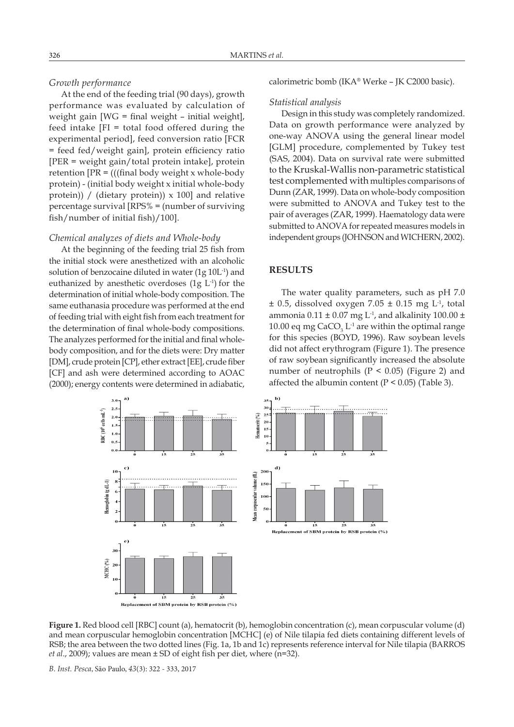## *Growth performance*

At the end of the feeding trial (90 days), growth performance was evaluated by calculation of weight gain [WG = final weight – initial weight], feed intake [FI = total food offered during the experimental period], feed conversion ratio [FCR = feed fed/weight gain], protein efficiency ratio [PER = weight gain/total protein intake], protein retention  $[PR = (((final body weight x whole-body)$ protein) - (initial body weight x initial whole-body protein)) / (dietary protein))  $\times$  100] and relative percentage survival [RPS% = (number of surviving fish/number of initial fish)/100].

## *Chemical analyzes of diets and Whole-body*

At the beginning of the feeding trial 25 fish from the initial stock were anesthetized with an alcoholic solution of benzocaine diluted in water (1g 10L-1) and euthanized by anesthetic overdoses  $(1g L<sup>-1</sup>)$  for the determination of initial whole-body composition. The same euthanasia procedure was performed at the end of feeding trial with eight fish from each treatment for the determination of final whole-body compositions. The analyzes performed for the initial and final wholebody composition, and for the diets were: Dry matter [DM], crude protein [CP], ether extract [EE], crude fiber [CF] and ash were determined according to AOAC (2000); energy contents were determined in adiabatic, calorimetric bomb (IKA® Werke – JK C2000 basic).

### *Statistical analysis*

Design in this study was completely randomized. Data on growth performance were analyzed by one-way ANOVA using the general linear model [GLM] procedure, complemented by Tukey test (SAS, 2004). Data on survival rate were submitted to the Kruskal-Wallis non-parametric statistical test complemented with multiples comparisons of Dunn (ZAR, 1999). Data on whole-body composition were submitted to ANOVA and Tukey test to the pair of averages (ZAR, 1999). Haematology data were submitted to ANOVA for repeated measures models in independent groups (JOHNSON and WICHERN, 2002).

# **RESULTS**

The water quality parameters, such as pH 7.0  $\pm$  0.5, dissolved oxygen 7.05  $\pm$  0.15 mg L<sup>-1</sup>, total ammonia  $0.11 \pm 0.07$  mg L<sup>-1</sup>, and alkalinity 100.00  $\pm$ 10.00 eq mg  $CaCO<sub>3</sub> L<sup>-1</sup>$  are within the optimal range for this species (BOYD, 1996). Raw soybean levels did not affect erythrogram (Figure 1). The presence of raw soybean significantly increased the absolute number of neutrophils ( $P < 0.05$ ) (Figure 2) and affected the albumin content ( $P < 0.05$ ) (Table 3).



**Figure 1.** Red blood cell [RBC] count (a), hematocrit (b), hemoglobin concentration (c), mean corpuscular volume (d) and mean corpuscular hemoglobin concentration [MCHC] (e) of Nile tilapia fed diets containing different levels of RSB; the area between the two dotted lines (Fig. 1a, 1b and 1c) represents reference interval for Nile tilapia (BARROS *et al*., 2009); values are mean ± SD of eight fish per diet, where (n=32).

*B. Inst. Pesca*, São Paulo, *43*(3): 322 - 333, 2017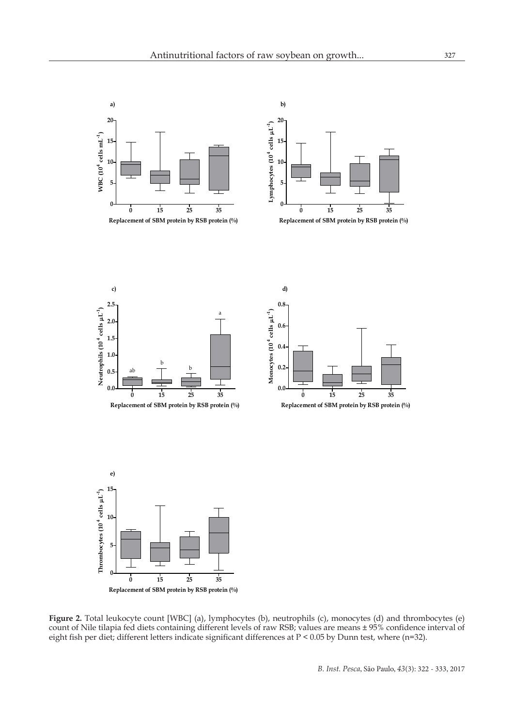

**Replacement of SBM protein by RSB protein (%)**

**Figure 2.** Total leukocyte count [WBC] (a), lymphocytes (b), neutrophils (c), monocytes (d) and thrombocytes (e) count of Nile tilapia fed diets containing different levels of raw RSB; values are means ± 95% confidence interval of eight fish per diet; different letters indicate significant differences at P < 0.05 by Dunn test, where (n=32).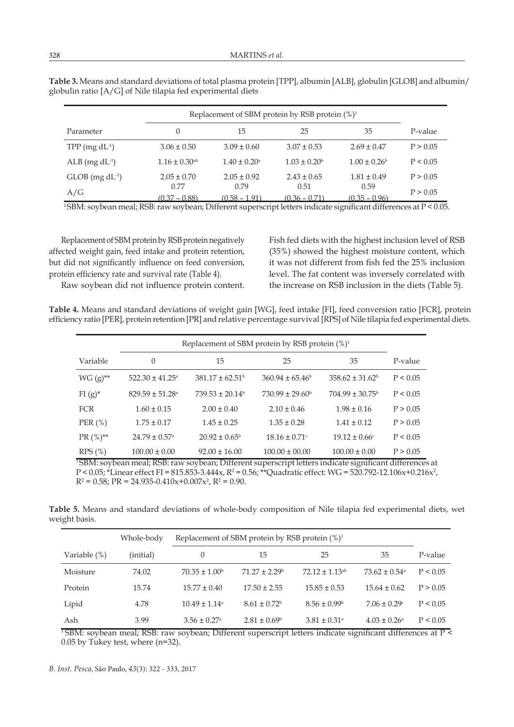|                        | Replacement of SBM protein by RSB protein $(\%)^1$ |                              |                         |                         |          |
|------------------------|----------------------------------------------------|------------------------------|-------------------------|-------------------------|----------|
| Parameter              | $\Omega$                                           | 15                           | 25                      | 35                      | P-value  |
| $TPP$ (mg $dL^{-1}$ )  | $3.06 \pm 0.50$                                    | $3.09 \pm 0.60$              | $3.07 \pm 0.53$         | $2.69 \pm 0.47$         | P > 0.05 |
| $ALB$ (mg $dL^{-1}$ )  | $1.16 \pm 0.30$ <sup>ab</sup>                      | $1.40 \pm 0.20$ <sup>a</sup> | $1.03 \pm 0.20^{\rm b}$ | $1.00 \pm 0.26^{\circ}$ | P < 0.05 |
| $GLOB$ (mg $dL^{-1}$ ) | $2.05 \pm 0.70$                                    | $2.05 \pm 0.92$              | $2.43 \pm 0.65$         | $1.81 \pm 0.49$         | P > 0.05 |
| A/G                    | 0.77<br>$(0.37 - 0.88)$                            | 0.79<br>$(0.58 - 1.91)$      | 0.51<br>$(0.36 - 0.71)$ | 0.59<br>$(0.35 - 0.96)$ | P > 0.05 |

**Table 3.** Means and standard deviations of total plasma protein [TPP], albumin [ALB], globulin [GLOB] and albumin/ globulin ratio [A/G] of Nile tilapia fed experimental diets

<sup>1</sup>SBM: soybean meal; RSB: raw soybean; Different superscript letters indicate significant differences at P < 0.05.

Replacement of SBM protein by RSB protein negatively affected weight gain, feed intake and protein retention, but did not significantly influence on feed conversion, protein efficiency rate and survival rate (Table 4).

Raw soybean did not influence protein content.

Fish fed diets with the highest inclusion level of RSB (35%) showed the highest moisture content, which it was not different from fish fed the 25% inclusion level. The fat content was inversely correlated with the increase on RSB inclusion in the diets (Table 5).

**Table 4.** Means and standard deviations of weight gain [WG], feed intake [FI], feed conversion ratio [FCR], protein efficiency ratio [PER], protein retention [PR] and relative percentage survival [RPS] of Nile tilapia fed experimental diets.

|              | Replacement of SBM protein by RSB protein $(\%)^1$ |                            |                               |                               |          |
|--------------|----------------------------------------------------|----------------------------|-------------------------------|-------------------------------|----------|
| Variable     | $\theta$                                           | 15                         | 25                            | 35                            | P-value  |
| $WG (g)$ **  | $522.30 \pm 41.25$ <sup>a</sup>                    | $381.17 \pm 62.51^{\circ}$ | $360.94 \pm 65.46^b$          | $358.62 \pm 31.62^b$          | P < 0.05 |
| $FI(g)^*$    | $829.59 \pm 51.28$ <sup>a</sup>                    | $739.53 \pm 20.14^{\circ}$ | $730.99 \pm 29.60^{\circ}$    | $704.99 \pm 30.75^{\rm b}$    | P < 0.05 |
| <b>FCR</b>   | $1.60 \pm 0.15$                                    | $2.00 \pm 0.40$            | $2.10 \pm 0.46$               | $1.98 \pm 0.16$               | P > 0.05 |
| PER $(\%)$   | $1.75 \pm 0.17$                                    | $1.45 \pm 0.25$            | $1.35 \pm 0.28$               | $1.41 \pm 0.12$               | P > 0.05 |
| $PR(%)^{**}$ | $24.79 \pm 0.57$ <sup>a</sup>                      | $20.92 \pm 0.65^{\circ}$   | $18.16 \pm 0.71$ <sup>c</sup> | $19.12 \pm 0.66$ <sup>c</sup> | P < 0.05 |
| RPS(%)       | $100.00 \pm 0.00$                                  | $92.00 \pm 16.00$          | $100.00 \pm 00.00$            | $100.00 \pm 0.00$             | P > 0.05 |

<sup>1</sup>SBM: soybean meal; RSB: raw soybean; Different superscript letters indicate significant differences at  $P < 0.05$ ; \*Linear effect FI = 815.853-3.444x, R<sup>2</sup> = 0.56; \*\*Quadratic effect: WG = 520.792-12.106x+0.216x<sup>2</sup>,  $R^2 = 0.58$ ; PR = 24.935-0.410x+0.007x<sup>2</sup>, R<sup>2</sup> = 0.90.

**Table 5.** Means and standard deviations of whole-body composition of Nile tilapia fed experimental diets, wet weight basis.

|              | Whole-body | Replacement of SBM protein by RSB protein $(\%)^1$ |                              |                              |                              |          |
|--------------|------------|----------------------------------------------------|------------------------------|------------------------------|------------------------------|----------|
| Variable (%) | (initial)  | $\Omega$                                           | 15                           | 25                           | 35                           | P-value  |
| Moisture     | 74.02      | $70.35 \pm 1.00^{\circ}$                           | $71.27 + 2.29$ <sup>b</sup>  | $72.12 + 1.13$ <sup>ab</sup> | $73.62 + 0.54$ <sup>a</sup>  | P < 0.05 |
| Protein      | 15.74      | $15.77 \pm 0.40$                                   | $17.50 \pm 2.55$             | $15.85 \pm 0.53$             | $15.64 \pm 0.62$             | P > 0.05 |
| Lipid        | 4.78       | $10.49 \pm 1.14$ <sup>a</sup>                      | $8.61 \pm 0.72$ <sup>b</sup> | $8.56 \pm 0.99$ <sup>b</sup> | $7.06 \pm 0.29$ <sup>c</sup> | P < 0.05 |
| Ash          | 3.99       | $3.56 \pm 0.27$ <sup>a</sup>                       | $2.81 \pm 0.69^{\circ}$      | $3.81 \pm 0.31$ <sup>a</sup> | $4.03 \pm 0.26^{\circ}$      | P < 0.05 |

<sup>1</sup>SBM: soybean meal; RSB: raw soybean; Different superscript letters indicate significant differences at  $\overline{P}$  < 0.05 by Tukey test, where (n=32).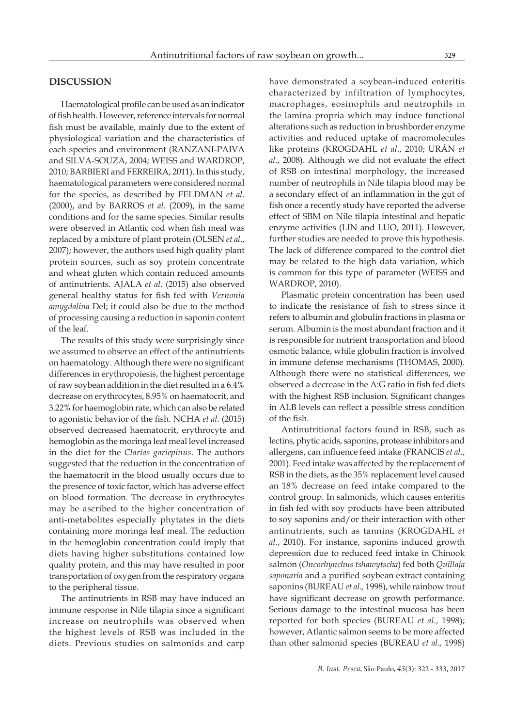## **DISCUSSION**

Haematological profile can be used as an indicator of fish health. However, reference intervals for normal fish must be available, mainly due to the extent of physiological variation and the characteristics of each species and environment (RANZANI-PAIVA and SILVA-SOUZA, 2004; WEISS and WARDROP, 2010; BARBIERI and FERREIRA, 2011). In this study, haematological parameters were considered normal for the species, as described by FELDMAN *et al.* (2000), and by BARROS *et al.* (2009), in the same conditions and for the same species. Similar results were observed in Atlantic cod when fish meal was replaced by a mixture of plant protein (OLSEN *et al*., 2007); however, the authors used high quality plant protein sources, such as soy protein concentrate and wheat gluten which contain reduced amounts of antinutrients. AJALA *et al.* (2015) also observed general healthy status for fish fed with *Vernonia amygdalina* Del; it could also be due to the method of processing causing a reduction in saponin content of the leaf.

The results of this study were surprisingly since we assumed to observe an effect of the antinutrients on haematology. Although there were no significant differences in erythropoiesis, the highest percentage of raw soybean addition in the diet resulted in a 6.4% decrease on erythrocytes, 8.95% on haematocrit, and 3.22% for haemoglobin rate, which can also be related to agonistic behavior of the fish. NCHA *et al.* (2015) observed decreased haematocrit, erythrocyte and hemoglobin as the moringa leaf meal level increased in the diet for the *Clarias gariepinus*. The authors suggested that the reduction in the concentration of the haematocrit in the blood usually occurs due to the presence of toxic factor, which has adverse effect on blood formation. The decrease in erythrocytes may be ascribed to the higher concentration of anti-metabolites especially phytates in the diets containing more moringa leaf meal. The reduction in the hemoglobin concentration could imply that diets having higher substitutions contained low quality protein, and this may have resulted in poor transportation of oxygen from the respiratory organs to the peripheral tissue.

The antinutrients in RSB may have induced an immune response in Nile tilapia since a significant increase on neutrophils was observed when the highest levels of RSB was included in the diets. Previous studies on salmonids and carp

have demonstrated a soybean-induced enteritis characterized by infiltration of lymphocytes, macrophages, eosinophils and neutrophils in the lamina propria which may induce functional alterations such as reduction in brushborder enzyme activities and reduced uptake of macromolecules like proteins (KROGDAHL *et al*., 2010; URÁN *et al.*, 2008). Although we did not evaluate the effect of RSB on intestinal morphology, the increased number of neutrophils in Nile tilapia blood may be a secondary effect of an inflammation in the gut of fish once a recently study have reported the adverse effect of SBM on Nile tilapia intestinal and hepatic enzyme activities (LIN and LUO, 2011). However, further studies are needed to prove this hypothesis. The lack of difference compared to the control diet may be related to the high data variation, which is common for this type of parameter (WEISS and WARDROP, 2010).

Plasmatic protein concentration has been used to indicate the resistance of fish to stress since it refers to albumin and globulin fractions in plasma or serum. Albumin is the most abundant fraction and it is responsible for nutrient transportation and blood osmotic balance, while globulin fraction is involved in immune defense mechanisms (THOMAS, 2000). Although there were no statistical differences, we observed a decrease in the A:G ratio in fish fed diets with the highest RSB inclusion. Significant changes in ALB levels can reflect a possible stress condition of the fish.

Antinutritional factors found in RSB, such as lectins, phytic acids, saponins, protease inhibitors and allergens, can influence feed intake (FRANCIS *et al*., 2001). Feed intake was affected by the replacement of RSB in the diets, as the 35% replacement level caused an 18% decrease on feed intake compared to the control group. In salmonids, which causes enteritis in fish fed with soy products have been attributed to soy saponins and/or their interaction with other antinutrients, such as tannins (KROGDAHL *et al*., 2010). For instance, saponins induced growth depression due to reduced feed intake in Chinook salmon (*Oncorhynchus tshawytscha*) fed both *Quillaja saponaria* and a purified soybean extract containing saponins (BUREAU *et al.,* 1998), while rainbow trout have significant decrease on growth performance. Serious damage to the intestinal mucosa has been reported for both species (BUREAU *et al.,* 1998); however, Atlantic salmon seems to be more affected than other salmonid species (BUREAU *et al.,* 1998)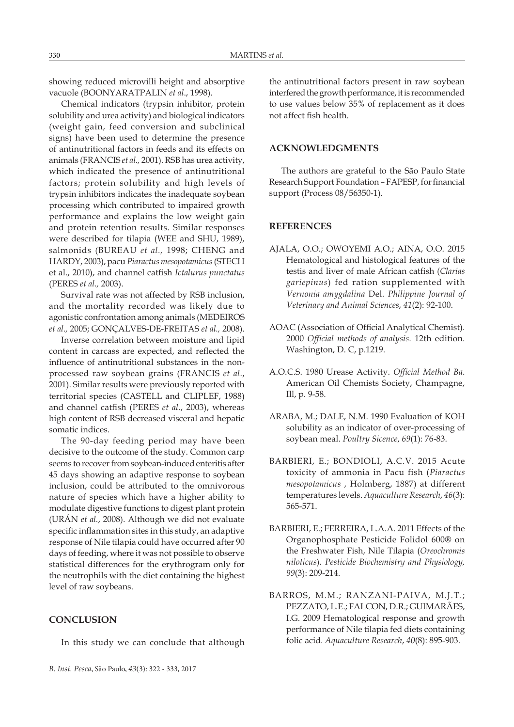showing reduced microvilli height and absorptive vacuole (BOONYARATPALIN *et al*., 1998).

Chemical indicators (trypsin inhibitor, protein solubility and urea activity) and biological indicators (weight gain, feed conversion and subclinical signs) have been used to determine the presence of antinutritional factors in feeds and its effects on animals (FRANCIS *et al.,* 2001). RSB has urea activity, which indicated the presence of antinutritional factors; protein solubility and high levels of trypsin inhibitors indicates the inadequate soybean processing which contributed to impaired growth performance and explains the low weight gain and protein retention results. Similar responses were described for tilapia (WEE and SHU, 1989), salmonids (BUREAU *et al.,* 1998; CHENG and HARDY, 2003), pacu *Piaractus mesopotamicus* (STECH et al., 2010), and channel catfish *Ictalurus punctatus* (PERES *et al.,* 2003).

Survival rate was not affected by RSB inclusion, and the mortality recorded was likely due to agonistic confrontation among animals (MEDEIROS *et al.,* 2005; GONÇALVES-DE-FREITAS *et al.,* 2008).

Inverse correlation between moisture and lipid content in carcass are expected, and reflected the influence of antinutritional substances in the nonprocessed raw soybean grains (FRANCIS *et al*., 2001). Similar results were previously reported with territorial species (CASTELL and CLIPLEF, 1988) and channel catfish (PERES *et al*., 2003), whereas high content of RSB decreased visceral and hepatic somatic indices.

The 90-day feeding period may have been decisive to the outcome of the study. Common carp seems to recover from soybean-induced enteritis after 45 days showing an adaptive response to soybean inclusion, could be attributed to the omnivorous nature of species which have a higher ability to modulate digestive functions to digest plant protein (URÁN *et al.*, 2008). Although we did not evaluate specific inflammation sites in this study, an adaptive response of Nile tilapia could have occurred after 90 days of feeding, where it was not possible to observe statistical differences for the erythrogram only for the neutrophils with the diet containing the highest level of raw soybeans.

# **CONCLUSION**

In this study we can conclude that although

the antinutritional factors present in raw soybean interfered the growth performance, it is recommended to use values below 35% of replacement as it does not affect fish health.

# **ACKNOWLEDGMENTS**

The authors are grateful to the São Paulo State Research Support Foundation – FAPESP, for financial support (Process 08/56350-1).

### **REFERENCES**

- AJALA, O.O.; OWOYEMI A.O.; AINA, O.O. 2015 Hematological and histological features of the testis and liver of male African catfish (*Clarias gariepinus*) fed ration supplemented with *Vernonia amygdalina* Del. *Philippine Journal of Veterinary and Animal Sciences*, *41*(2): 92-100.
- AOAC (Association of Official Analytical Chemist). 2000 *Official methods of analysis.* 12th edition. Washington, D. C, p.1219.
- A.O.C.S. 1980 Urease Activity. *Official Method Ba*. American Oil Chemists Society, Champagne, Ill, p. 9-58.
- ARABA, M.; DALE, N.M. 1990 Evaluation of KOH solubility as an indicator of over-processing of soybean meal. *Poultry Sicence*, *69*(1): 76-83.
- BARBIERI, E.; BONDIOLI, A.C.V. 2015 Acute toxicity of ammonia in Pacu fish (*Piaractus mesopotamicus* , Holmberg, 1887) at different temperatures levels. *Aquaculture Research*, *46*(3): 565-571.
- BARBIERI, E.; FERREIRA, L.A.A. 2011 Effects of the Organophosphate Pesticide Folidol 600® on the Freshwater Fish, Nile Tilapia (*Oreochromis niloticus*). *Pesticide Biochemistry and Physiology, 99*(3): 209-214.
- BARROS, M.M.; RANZANI-PAIVA, M.J.T.; PEZZATO, L.E.; FALCON, D.R.; GUIMARÃES, I.G. 2009 Hematological response and growth performance of Nile tilapia fed diets containing folic acid. *Aquaculture Research*, *40*(8): 895-903.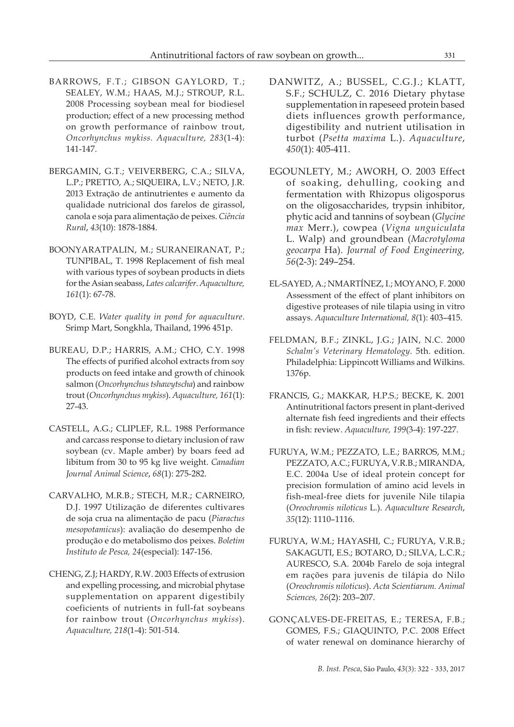- BARROWS, F.T.; GIBSON GAYLORD, T.; SEALEY, W.M.; HAAS, M.J.; STROUP, R.L. 2008 Processing soybean meal for biodiesel production; effect of a new processing method on growth performance of rainbow trout, *Oncorhynchus mykiss. Aquaculture, 283*(1-4): 141-147.
- BERGAMIN, G.T.; VEIVERBERG, C.A.; SILVA, L.P.; PRETTO, A.; SIQUEIRA, L.V.; NETO, J.R. 2013 Extração de antinutrientes e aumento da qualidade nutricional dos farelos de girassol, canola e soja para alimentação de peixes. *Ciência Rural*, *43*(10): 1878-1884.
- BOONYARATPALIN, M.; SURANEIRANAT, P.; TUNPIBAL, T. 1998 Replacement of fish meal with various types of soybean products in diets for the Asian seabass, *Lates calcarifer*. *Aquaculture, 161*(1): 67-78.
- BOYD, C.E. *Water quality in pond for aquaculture*. Srimp Mart, Songkhla, Thailand, 1996 451p.
- BUREAU, D.P.; HARRIS, A.M.; CHO, C.Y. 1998 The effects of purified alcohol extracts from soy products on feed intake and growth of chinook salmon (*Oncorhynchus tshawytscha*) and rainbow trout (*Oncorhynchus mykiss*). *Aquaculture, 161*(1): 27-43.
- CASTELL, A.G.; CLIPLEF, R.L. 1988 Performance and carcass response to dietary inclusion of raw soybean (cv. Maple amber) by boars feed ad libitum from 30 to 95 kg live weight. *Canadian Journal Animal Science*, *68*(1): 275-282.
- CARVALHO, M.R.B.; STECH, M.R.; CARNEIRO, D.J. 1997 Utilização de diferentes cultivares de soja crua na alimentação de pacu (*Piaractus mesopotamicus*): avaliação do desempenho de produção e do metabolismo dos peixes. *Boletim Instituto de Pesca, 24*(especial): 147-156.
- CHENG, Z.J; HARDY, R.W. 2003 Effects of extrusion and expelling processing, and microbial phytase supplementation on apparent digestibily coeficients of nutrients in full-fat soybeans for rainbow trout (*Oncorhynchus mykiss*). *Aquaculture, 218*(1-4): 501-514.
- DANWITZ, A.; BUSSEL, C.G.J.; KLATT, S.F.; SCHULZ, C. 2016 Dietary phytase supplementation in rapeseed protein based diets influences growth performance, digestibility and nutrient utilisation in turbot (*Psetta maxima* L.). *Aquaculture*, *450*(1): 405-411.
- EGOUNLETY, M.; AWORH, O. 2003 Effect of soaking, dehulling, cooking and fermentation with Rhizopus oligosporus on the oligosaccharides, trypsin inhibitor, phytic acid and tannins of soybean (*Glycine max* Merr.), cowpea (*Vigna unguiculata* L. Walp) and groundbean (*Macrotyloma geocarpa* Ha). *Journal of Food Engineering, 56*(2-3): 249–254.
- EL-SAYED, A.; NMARTÍNEZ, I.; MOYANO, F. 2000 Assessment of the effect of plant inhibitors on digestive proteases of nile tilapia using in vitro assays. *Aquaculture International, 8*(1): 403–415.
- FELDMAN, B.F.; ZINKL, J.G.; JAIN, N.C. 2000 *Schalm's Veterinary Hematology*. 5th. edition. Philadelphia: Lippincott Williams and Wilkins. 1376p.
- FRANCIS, G.; MAKKAR, H.P.S.; BECKE, K. 2001 Antinutritional factors present in plant-derived alternate fish feed ingredients and their effects in fish: review. *Aquaculture, 199*(3-4): 197-227.
- FURUYA, W.M.; PEZZATO, L.E.; BARROS, M.M.; PEZZATO, A.C.; FURUYA, V.R.B.; MIRANDA, E.C. 2004a Use of ideal protein concept for precision formulation of amino acid levels in fish-meal-free diets for juvenile Nile tilapia (*Oreochromis niloticus* L.). *Aquaculture Research*, *35*(12): 1110–1116.
- FURUYA, W.M.; HAYASHI, C.; FURUYA, V.R.B.; SAKAGUTI, E.S.; BOTARO, D.; SILVA, L.C.R.; AURESCO, S.A. 2004b Farelo de soja integral em rações para juvenis de tilápia do Nilo (*Oreochromis niloticus*). *Acta Scientiarum. Animal Sciences, 26*(2): 203–207.
- GONÇALVES-DE-FREITAS, E.; TERESA, F.B.; GOMES, F.S.; GIAQUINTO, P.C. 2008 Effect of water renewal on dominance hierarchy of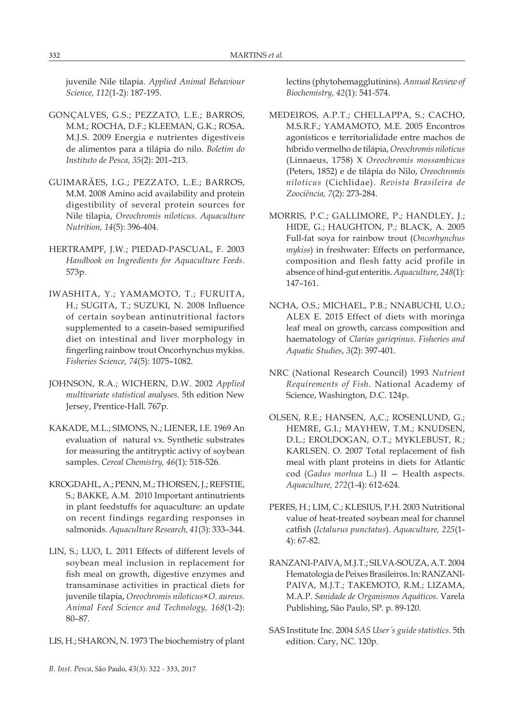juvenile Nile tilapia. *Applied Animal Behaviour Science, 112*(1-2): 187-195.

- GONÇALVES, G.S.; PEZZATO, L.E.; BARROS, M.M.; ROCHA, D.F.; KLEEMAN, G.K.; ROSA, M.J.S. 2009 Energia e nutrientes digestíveis de alimentos para a tilápia do nilo. *Boletim do Instituto de Pesca, 35*(2): 201–213.
- GUIMARÃES, I.G.; PEZZATO, L.E.; BARROS, M.M. 2008 Amino acid availability and protein digestibility of several protein sources for Nile tilapia, *Oreochromis niloticus*. *Aquaculture Nutrition, 14*(5): 396-404.
- HERTRAMPF, J.W.; PIEDAD-PASCUAL, F. 2003 *Handbook on Ingredients for Aquaculture Feeds*. 573p.
- IWASHITA, Y.; YAMAMOTO, T.; FURUITA, H.; SUGITA, T.; SUZUKI, N. 2008 Influence of certain soybean antinutritional factors supplemented to a casein-based semipurified diet on intestinal and liver morphology in fingerling rainbow trout Oncorhynchus mykiss. *Fisheries Science, 74*(5): 1075–1082.
- JOHNSON, R.A.; WICHERN, D.W. 2002 *Applied multivariate statistical analyses*. 5th edition New Jersey, Prentice-Hall. 767p.
- KAKADE, M.L.; SIMONS, N.; LIENER, I.E. 1969 An evaluation of natural vx. Synthetic substrates for measuring the antitryptic activy of soybean samples. *Cereal Chemistry, 46*(1): 518-526.
- KROGDAHL, A.; PENN, M.; THORSEN, J.; REFSTIE, S.; BAKKE, A.M. 2010 Important antinutrients in plant feedstuffs for aquaculture: an update on recent findings regarding responses in salmonids. *Aquaculture Research, 41*(3): 333–344.
- LIN, S.; LUO, L. 2011 Effects of different levels of soybean meal inclusion in replacement for fish meal on growth, digestive enzymes and transaminase activities in practical diets for juvenile tilapia, *Oreochromis niloticus*×*O. aureus*. *Animal Feed Science and Technology, 168*(1-2): 80–87.
- LIS, H.; SHARON, N. 1973 The biochemistry of plant

lectins (phytohemagglutinins). *Annual Review of Biochemistry, 42*(1): 541-574.

- MEDEIROS, A.P.T.; CHELLAPPA, S.; CACHO, M.S.R.F.; YAMAMOTO, M.E. 2005 Encontros agonísticos e territorialidade entre machos de híbrido vermelho de tilápia, *Oreochromis niloticus* (Linnaeus, 1758) X *Oreochromis mossambicus* (Peters, 1852) e de tilápia do Nilo, *Oreochromis niloticus* (Cichlidae). *Revista Brasileira de Zoociência, 7*(2): 273-284.
- MORRIS, P.C.; GALLIMORE, P.; HANDLEY, J.; HIDE, G.; HAUGHTON, P.; BLACK, A. 2005 Full-fat soya for rainbow trout (*Oncorhynchus mykiss*) in freshwater: Effects on performance, composition and flesh fatty acid profile in absence of hind-gut enteritis. *Aquaculture, 248*(1): 147–161.
- NCHA, O.S.; MICHAEL, P.B.; NNABUCHI, U.O.; ALEX E. 2015 Effect of diets with moringa leaf meal on growth, carcass composition and haematology of *Clarias gariepinus*. *Fisheries and Aquatic Studies*, *3*(2): 397-401.
- NRC (National Research Council) 1993 *Nutrient Requirements of Fish*. National Academy of Science, Washington, D.C. 124p.
- OLSEN, R.E.; HANSEN, A,C.; ROSENLUND, G.; HEMRE, G.I.; MAYHEW, T.M.; KNUDSEN, D.L.; EROLDOGAN, O.T.; MYKLEBUST, R.; KARLSEN. O. 2007 Total replacement of fish meal with plant proteins in diets for Atlantic cod (*Gadus morhua* L.) II — Health aspects. *Aquaculture, 272*(1-4): 612-624.
- PERES, H.; LIM, C.; KLESIUS, P.H. 2003 Nutritional value of heat-treated soybean meal for channel catfish (*Ictalurus punctatus*). *Aquaculture, 225*(1- 4): 67-82.
- RANZANI-PAIVA, M.J.T.; SILVA-SOUZA, A.T. 2004 Hematologia de Peixes Brasileiros. In: RANZANI-PAIVA, M.J.T.; TAKEMOTO, R.M.; LIZAMA, M.A.P. *Sanidade de Organismos Aquáticos*. Varela Publishing, São Paulo, SP. p. 89-120.
- SAS Institute Inc. 2004 *SAS User´s guide statistics*. 5th edition. Cary, NC. 120p.

*B. Inst. Pesca*, São Paulo, *43*(3): 322 - 333, 2017